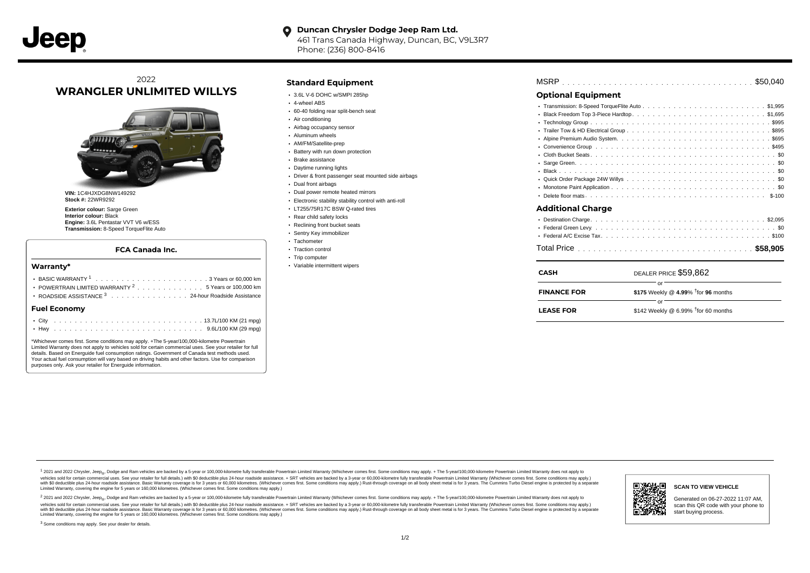#### **Duncan Chrysler Dodge Jeep Ram Ltd.**  $\bullet$

461 Trans Canada Highway, Duncan, BC, V9L3R7 Phone: (236) 800-8416

# 2022 **WRANGLER UNLIMITED WILLYS**



**VIN:** 1C4HJXDG8NW149292 **Stock #:** 22WR9292

**Exterior colour:** Sarge Green **Interior colour:** Black **Engine:** 3.6L Pentastar VVT V6 w/ESS **Transmission:** 8-Speed TorqueFlite Auto

### **FCA Canada Inc.**

### **Warranty\***

| POWERTRAIN LIMITED WARRANTY <sup>2</sup> 5 Years or 100,000 km<br>ROADSIDE ASSISTANCE <sup>3</sup> 24-hour Roadside Assistance |  |
|--------------------------------------------------------------------------------------------------------------------------------|--|
| <b>Fuel Economy</b>                                                                                                            |  |
|                                                                                                                                |  |

\*Whichever comes first. Some conditions may apply. +The 5-year/100,000-kilometre Powertrain Limited Warranty does not apply to vehicles sold for certain commercial uses. See your retailer for full details. Based on Energuide fuel consumption ratings. Government of Canada test methods used. Your actual fuel consumption will vary based on driving habits and other factors. Use for comparison purposes only. Ask your retailer for Energuide information.

## **Standard Equipment**

- 3.6L V-6 DOHC w/SMPI 285hp
- 4-wheel ABS
- 60-40 folding rear split-bench seat
- Air conditioning
- Airbag occupancy sensor
- Aluminum wheels
- AM/FM/Satellite-prep **Battery with run down protection**
- Brake assistance
- Daytime running lights
- Driver & front passenger seat mounted side airbags
- Dual front airbags
- Dual power remote heated mirrors
- Electronic stability stability control with anti-roll
- LT255/75R17C BSW Q-rated tires
- Rear child safety locks
- Reclining front bucket seats
- Sentry Key immobilizer
- Tachometer
- Traction control
- Trip computer
- Variable intermittent wipers

| <b>Optional Equipment</b> |                       |  |    |  |  |  |  |  |  |  |  |  |  |
|---------------------------|-----------------------|--|----|--|--|--|--|--|--|--|--|--|--|
|                           |                       |  |    |  |  |  |  |  |  |  |  |  |  |
|                           |                       |  |    |  |  |  |  |  |  |  |  |  |  |
|                           |                       |  |    |  |  |  |  |  |  |  |  |  |  |
|                           |                       |  |    |  |  |  |  |  |  |  |  |  |  |
|                           |                       |  |    |  |  |  |  |  |  |  |  |  |  |
|                           |                       |  |    |  |  |  |  |  |  |  |  |  |  |
|                           |                       |  |    |  |  |  |  |  |  |  |  |  |  |
|                           |                       |  |    |  |  |  |  |  |  |  |  |  |  |
|                           |                       |  |    |  |  |  |  |  |  |  |  |  |  |
|                           |                       |  |    |  |  |  |  |  |  |  |  |  |  |
|                           |                       |  |    |  |  |  |  |  |  |  |  |  |  |
|                           |                       |  |    |  |  |  |  |  |  |  |  |  |  |
| <b>Additional Charge</b>  |                       |  |    |  |  |  |  |  |  |  |  |  |  |
|                           |                       |  |    |  |  |  |  |  |  |  |  |  |  |
|                           |                       |  |    |  |  |  |  |  |  |  |  |  |  |
|                           |                       |  |    |  |  |  |  |  |  |  |  |  |  |
|                           |                       |  |    |  |  |  |  |  |  |  |  |  |  |
| <b>CASH</b>               | DEALER PRICE \$59.862 |  |    |  |  |  |  |  |  |  |  |  |  |
|                           |                       |  | or |  |  |  |  |  |  |  |  |  |  |

| <b>FINANCE FOR</b> | \$175 Weekly @ 4.99% $\dagger$ for 96 months |  |  |  |  |  |
|--------------------|----------------------------------------------|--|--|--|--|--|
|                    |                                              |  |  |  |  |  |
| <b>LEASE FOR</b>   | \$142 Weekly @ 6.99% $†$ for 60 months       |  |  |  |  |  |

1 2021 and 2022 Chrysler, Jeep<sub>en</sub> Dodge and Ram vehicles are backed by a 5-year or 100,000-kilometre fully transferable Powertrain Limited Warranty (Whichever comes first. Some conditions may apply. + The 5-year/100,000-k rebicles sold for certain commercial uses. See your retailer for full details) with S0 deductible plus 24-hour madside assistance. + SRT vehicles are backed by a 3-year or 60.000-kilometre fully transferable Powertrain Lim versus and contract the mean of the contract of the contract with a contract with a contract the contract of the search of the contract and a control of the contract and contract and control of the search of the search of Limited Warranty, covering the engine for 5 years or 160,000 kilometres. (Whichever comes first. Some conditions may apply.)

<sup>2</sup> 2021 and 2022 Chrysler, Jeep<sub>®</sub>, Dodge and Ram vehicles are backed by a 5-year or 100,000-kilometre fully transferable Powertrain Limited Warranty (Whichever comes first. Some conditions may apply. + The 5-year/100,000 vehicles sold for certain commercial uses. See your retailer for full details.) with SO deductible plus 24-hour roadside assistance. + SRT vehicles are backed by a 3-year or 60.000-kilometre fully transferable Powertrain L with S0 deductible plus 24-hour roadside assistance. Basic Warranty coverage is for 3 years or 60,000 kilometres. (Whichever comes first. Some conditions may apply.) Rust-through coverage on all body sheet metal is for 3 y G٦, **SCAN TO VIEW VEHICLE** Generated on 06-27-2022 11:07 AM, scan this QR code with your phone to start buying process.

<sup>3</sup> Some conditions may apply. See your dealer for details.